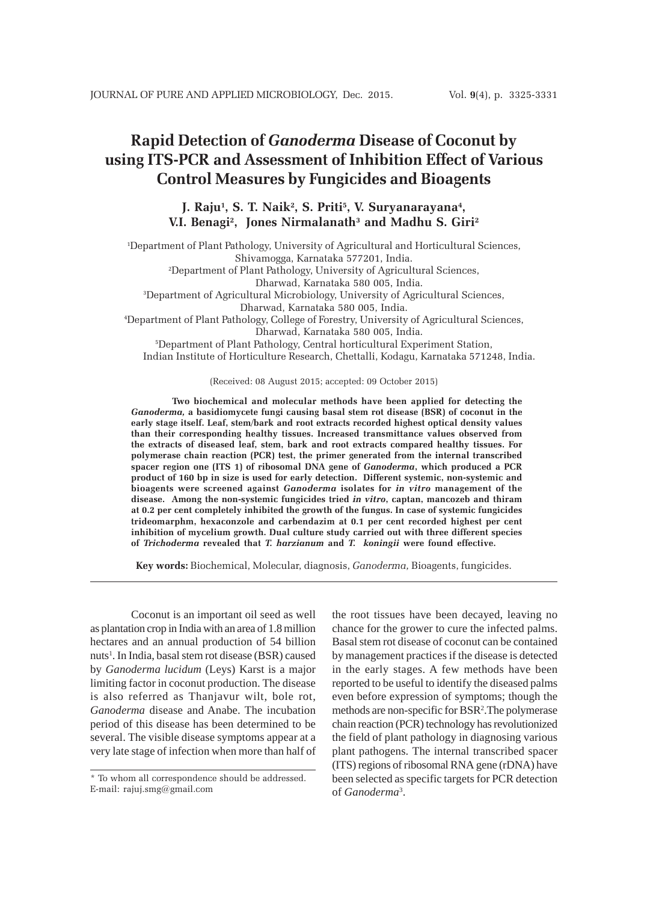# **Rapid Detection of** *Ganoderma* **Disease of Coconut by using ITS-PCR and Assessment of Inhibition Effect of Various Control Measures by Fungicides and Bioagents**

# J. Raju<sup>1</sup>, S. T. Naik<sup>2</sup>, S. Priti<sup>5</sup>, V. Suryanarayana<sup>4</sup>, **V.I. Benagi2 , Jones Nirmalanath3 and Madhu S. Giri2**

1 Department of Plant Pathology, University of Agricultural and Horticultural Sciences, Shivamogga, Karnataka 577201, India. 2 Department of Plant Pathology, University of Agricultural Sciences, Dharwad, Karnataka 580 005, India. 3 Department of Agricultural Microbiology, University of Agricultural Sciences, Dharwad, Karnataka 580 005, India. 4 Department of Plant Pathology, College of Forestry, University of Agricultural Sciences, Dharwad, Karnataka 580 005, India. 5 Department of Plant Pathology, Central horticultural Experiment Station, Indian Institute of Horticulture Research, Chettalli, Kodagu, Karnataka 571248, India.

(Received: 08 August 2015; accepted: 09 October 2015)

**Two biochemical and molecular methods have been applied for detecting the** *Ganoderma,* **a basidiomycete fungi causing basal stem rot disease (BSR) of coconut in the early stage itself. Leaf, stem/bark and root extracts recorded highest optical density values than their corresponding healthy tissues. Increased transmittance values observed from the extracts of diseased leaf, stem, bark and root extracts compared healthy tissues. For polymerase chain reaction (PCR) test, the primer generated from the internal transcribed spacer region one (ITS 1) of ribosomal DNA gene of** *Ganoderma***, which produced a PCR product of 160 bp in size is used for early detection. Different systemic, non-systemic and bioagents were screened against** *Ganoderma* **isolates for** *in vitro* **management of the disease. Among the non-systemic fungicides tried** *in vitro***, captan, mancozeb and thiram at 0.2 per cent completely inhibited the growth of the fungus. In case of systemic fungicides trideomarphm, hexaconzole and carbendazim at 0.1 per cent recorded highest per cent inhibition of mycelium growth. Dual culture study carried out with three different species of** *Trichoderma* **revealed that** *T. harzianum* **and** *T. koningii* **were found effective.**

**Key words:** Biochemical, Molecular, diagnosis, *Ganoderma,* Bioagents, fungicides.

Coconut is an important oil seed as well as plantation crop in India with an area of 1.8 million hectares and an annual production of 54 billion nuts<sup>1</sup>. In India, basal stem rot disease (BSR) caused by *Ganoderma lucidum* (Leys) Karst is a major limiting factor in coconut production. The disease is also referred as Thanjavur wilt, bole rot, *Ganoderma* disease and Anabe. The incubation period of this disease has been determined to be several. The visible disease symptoms appear at a very late stage of infection when more than half of the root tissues have been decayed, leaving no chance for the grower to cure the infected palms. Basal stem rot disease of coconut can be contained by management practices if the disease is detected in the early stages. A few methods have been reported to be useful to identify the diseased palms even before expression of symptoms; though the methods are non-specific for BSR2 .The polymerase chain reaction (PCR) technology has revolutionized the field of plant pathology in diagnosing various plant pathogens. The internal transcribed spacer (ITS) regions of ribosomal RNA gene (rDNA) have been selected as specific targets for PCR detection of *Ganoderma*<sup>3</sup> .

<sup>\*</sup> To whom all correspondence should be addressed. E-mail: rajuj.smg@gmail.com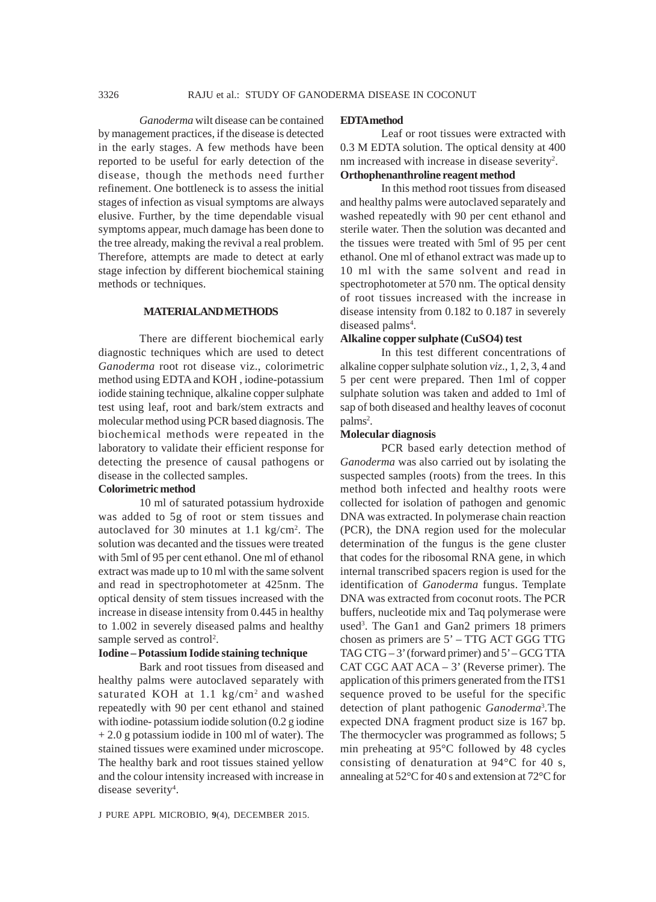*Ganoderma* wilt disease can be contained by management practices, if the disease is detected in the early stages. A few methods have been reported to be useful for early detection of the disease, though the methods need further refinement. One bottleneck is to assess the initial stages of infection as visual symptoms are always elusive. Further, by the time dependable visual symptoms appear, much damage has been done to the tree already, making the revival a real problem. Therefore, attempts are made to detect at early stage infection by different biochemical staining methods or techniques.

### **MATERIAL AND METHODS**

There are different biochemical early diagnostic techniques which are used to detect *Ganoderma* root rot disease viz., colorimetric method using EDTA and KOH , iodine-potassium iodide staining technique, alkaline copper sulphate test using leaf, root and bark/stem extracts and molecular method using PCR based diagnosis. The biochemical methods were repeated in the laboratory to validate their efficient response for detecting the presence of causal pathogens or disease in the collected samples.

### **Colorimetric method**

10 ml of saturated potassium hydroxide was added to 5g of root or stem tissues and autoclaved for 30 minutes at 1.1 kg/cm<sup>2</sup>. The solution was decanted and the tissues were treated with 5ml of 95 per cent ethanol. One ml of ethanol extract was made up to 10 ml with the same solvent and read in spectrophotometer at 425nm. The optical density of stem tissues increased with the increase in disease intensity from 0.445 in healthy to 1.002 in severely diseased palms and healthy sample served as control<sup>2</sup>.

#### **Iodine – Potassium Iodide staining technique**

Bark and root tissues from diseased and healthy palms were autoclaved separately with saturated KOH at 1.1 kg/cm<sup>2</sup> and washed repeatedly with 90 per cent ethanol and stained with iodine- potassium iodide solution (0.2 g iodine + 2.0 g potassium iodide in 100 ml of water). The stained tissues were examined under microscope. The healthy bark and root tissues stained yellow and the colour intensity increased with increase in disease severity<sup>4</sup>.

#### **EDTA method**

Leaf or root tissues were extracted with 0.3 M EDTA solution. The optical density at 400 nm increased with increase in disease severity<sup>2</sup>. **Orthophenanthroline reagent method**

In this method root tissues from diseased and healthy palms were autoclaved separately and washed repeatedly with 90 per cent ethanol and sterile water. Then the solution was decanted and the tissues were treated with 5ml of 95 per cent ethanol. One ml of ethanol extract was made up to 10 ml with the same solvent and read in spectrophotometer at 570 nm. The optical density of root tissues increased with the increase in disease intensity from 0.182 to 0.187 in severely diseased palms<sup>4</sup>.

#### **Alkaline copper sulphate (CuSO4) test**

In this test different concentrations of alkaline copper sulphate solution *viz*., 1, 2, 3, 4 and 5 per cent were prepared. Then 1ml of copper sulphate solution was taken and added to 1ml of sap of both diseased and healthy leaves of coconut palms<sup>2</sup>.

#### **Molecular diagnosis**

PCR based early detection method of *Ganoderma* was also carried out by isolating the suspected samples (roots) from the trees. In this method both infected and healthy roots were collected for isolation of pathogen and genomic DNA was extracted. In polymerase chain reaction (PCR), the DNA region used for the molecular determination of the fungus is the gene cluster that codes for the ribosomal RNA gene, in which internal transcribed spacers region is used for the identification of *Ganoderma* fungus. Template DNA was extracted from coconut roots. The PCR buffers, nucleotide mix and Taq polymerase were used<sup>3</sup>. The Gan1 and Gan2 primers 18 primers chosen as primers are 5' – TTG ACT GGG TTG TAG CTG – 3' (forward primer) and 5' – GCG TTA CAT CGC AAT ACA – 3' (Reverse primer). The application of this primers generated from the ITS1 sequence proved to be useful for the specific detection of plant pathogenic *Ganoderma*<sup>3</sup> *.*The expected DNA fragment product size is 167 bp. The thermocycler was programmed as follows; 5 min preheating at 95°C followed by 48 cycles consisting of denaturation at 94°C for 40 s, annealing at 52°C for 40 s and extension at 72°C for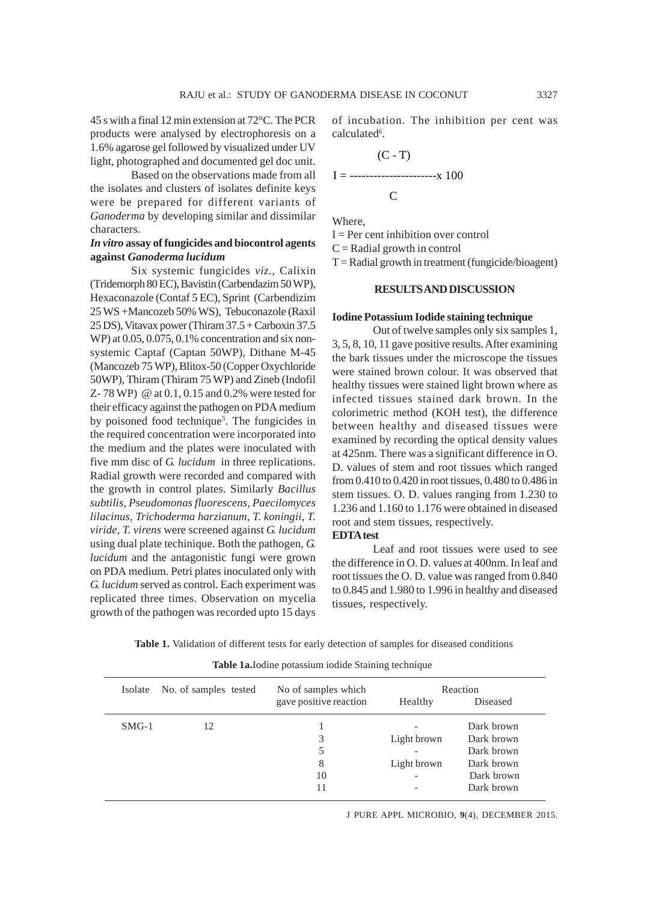45 s with a final 12 min extension at 72°C. The PCR products were analysed by electrophoresis on a 1.6% agarose gel followed by visualized under UV light, photographed and documented gel doc unit.

Based on the observations made from all the isolates and clusters of isolates definite keys were be prepared for different variants of *Ganoderma* by developing similar and dissimilar characters.

### *In vitro* **assay of fungicides and biocontrol agents against** *Ganoderma lucidum*

Six systemic fungicides *viz.,* Calixin (Tridemorph 80 EC), Bavistin (Carbendazim 50 WP), Hexaconazole (Contaf 5 EC), Sprint (Carbendizim 25 WS +Mancozeb 50% WS), Tebuconazole (Raxil 25 DS), Vitavax power (Thiram 37.5 + Carboxin 37.5 WP) at 0.05, 0.075, 0.1% concentration and six nonsystemic Captaf (Captan 50WP), Dithane M-45 (Mancozeb 75 WP), Blitox-50 (Copper Oxychloride 50WP), Thiram (Thiram 75 WP) and Zineb (Indofil Z- 78 WP) @ at 0.1, 0.15 and 0.2% were tested for their efficacy against the pathogen on PDA medium by poisoned food technique<sup>5</sup>. The fungicides in the required concentration were incorporated into the medium and the plates were inoculated with five mm disc of *G. lucidum* in three replications. Radial growth were recorded and compared with the growth in control plates. Similarly *Bacillus subtilis, Pseudomonas fluorescens, Paecilomyces lilacinus, Trichoderma harzianum, T. koningii, T. viride, T. virens* were screened against *G. lucidum* using dual plate techinique. Both the pathogen, *G. lucidum* and the antagonistic fungi were grown on PDA medium. Petri plates inoculated only with *G. lucidum* served as control. Each experiment was replicated three times. Observation on mycelia growth of the pathogen was recorded upto 15 days of incubation. The inhibition per cent was calculated<sup>6</sup>.

$$
I = \frac{1}{100}
$$
\n
$$
I = \frac{1}{100}
$$
\n
$$
I = \frac{1}{100}
$$

Where,

 $I = Per cent inhibition over control$  $C =$ Radial growth in control  $T =$ Radial growth in treatment (fungicide/bioagent)

#### **RESULTS AND DISCUSSION**

#### **Iodine Potassium Iodide staining technique**

Out of twelve samples only six samples 1, 3, 5, 8, 10, 11 gave positive results. After examining the bark tissues under the microscope the tissues were stained brown colour. It was observed that healthy tissues were stained light brown where as infected tissues stained dark brown. In the colorimetric method (KOH test), the difference between healthy and diseased tissues were examined by recording the optical density values at 425nm. There was a significant difference in O. D. values of stem and root tissues which ranged from 0.410 to 0.420 in root tissues, 0.480 to 0.486 in stem tissues. O. D. values ranging from 1.230 to 1.236 and 1.160 to 1.176 were obtained in diseased root and stem tissues, respectively.

# **EDTA test**

Leaf and root tissues were used to see the difference in O. D. values at 400nm. In leaf and root tissues the O. D. value was ranged from 0.840 to 0.845 and 1.980 to 1.996 in healthy and diseased tissues, respectively.

**Table 1.** Validation of different tests for early detection of samples for diseased conditions

**Table 1a.**Iodine potassium iodide Staining technique

| Isolate | No. of samples tested | No of samples which    | Reaction    |            |
|---------|-----------------------|------------------------|-------------|------------|
|         |                       | gave positive reaction | Healthy     | Diseased   |
| $SMG-1$ | 12                    |                        |             | Dark brown |
|         |                       | 3                      | Light brown | Dark brown |
|         |                       | 5                      |             | Dark brown |
|         |                       | 8                      | Light brown | Dark brown |
|         |                       | 10                     |             | Dark brown |
|         |                       | 11                     |             | Dark brown |

J PURE APPL MICROBIO*,* **9**(4), DECEMBER 2015.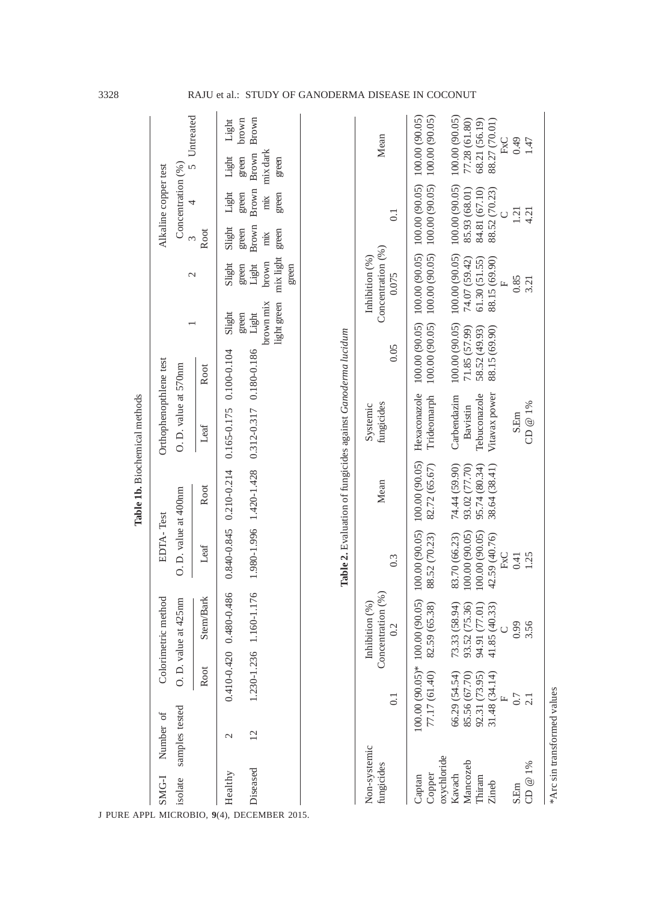|                            |                             |                                |                                                |                                | Table 1b. Biochemical methods                               |                               |                                |                             |                                              |                       |                                |                                |                |
|----------------------------|-----------------------------|--------------------------------|------------------------------------------------|--------------------------------|-------------------------------------------------------------|-------------------------------|--------------------------------|-----------------------------|----------------------------------------------|-----------------------|--------------------------------|--------------------------------|----------------|
| SMG-I                      | Number of                   |                                | Colorimetric method                            | EDTA-Test                      |                                                             | Orthophenopthlene test        |                                |                             |                                              |                       | Alkaline copper test           |                                |                |
|                            | isolate samples tested      |                                | O. D. value at 425nm                           | O. D. value at 400nm           |                                                             | O. D. value at 570nm          |                                |                             | $\mathcal{L}$                                | $\infty$              | Concentration (%)<br>4         |                                | 5 Untreated    |
|                            |                             | Root                           | Stem/Bark                                      | Leaf                           | Root                                                        | Leaf                          | Root                           |                             |                                              | Root                  |                                |                                |                |
| Healthy                    | $\mathcal{L}$               |                                | $0.410 - 0.420$ 0.480-0.486                    |                                | $0.840 - 0.845$ 0.210-0.214                                 | $0.165 - 0.175$ 0.100-0.104   |                                | Slight                      | Slight                                       | Slight                | Light                          | Light                          | Light          |
| Diseased                   | 12                          |                                | 1.230-1.236 1.160-1.176                        |                                | 1.980-1.996 1.420-1.428                                     | 0.312-0.317 0.180-0.186       |                                | brown mix<br>Light<br>green | brown<br>Light<br>green                      | Brown<br>green<br>mix | Brown<br>green<br>$\dot{m}$    | mix dark<br>Brown<br>green     | brown<br>Brown |
|                            |                             |                                |                                                |                                |                                                             |                               |                                | light green                 | mix light<br>green                           | green                 | green                          | green                          |                |
|                            |                             |                                |                                                |                                | Table 2. Evaluation of fungicides against Ganoderma lucidum |                               |                                |                             |                                              |                       |                                |                                |                |
|                            |                             |                                |                                                |                                |                                                             |                               |                                |                             |                                              |                       |                                |                                |                |
| Non-systemic<br>fungicides |                             | $\overline{0}$ .               | Concentration $(%$<br>(%)<br>Inhibition<br>0.2 | 0.3                            | Mean                                                        | fungicides<br>Systemic        | 0.05                           |                             | Concentration (%)<br>Inhibition (%)<br>0.075 |                       | $\overline{0}$                 | Mean                           |                |
| Captan                     |                             |                                | 100.00 (90.05)* 100.00 (90.05)                 | 100.00 (90.05)                 | 100.00 (90.05)                                              | Hexaconazole                  | 100.00 (90.05)                 |                             | 100.00 (90.05)                               |                       | 100.00 (90.05)                 | 100.00 (90.05)                 |                |
| oxychloride<br>Copper      |                             | 77.17 (61.40)                  | 82.59 (65.38)                                  | 88.52 (70.23)                  | 82.72 (65.67)                                               | Trideomarph                   | 100.00 (90.05)                 |                             | 100.00 (90.05)                               |                       | 100.00 (90.05)                 | 100.00 (90.05)                 |                |
| Kavach                     |                             | 66.29 (54.54)                  | 73.33 (58.94)                                  | 83.70 (66.23)                  | 74.44 (59.90)                                               | Carbendazim                   | 100.00 (90.05)                 |                             | 100.00 (90.05)                               |                       | 100.00 (90.05)                 | 100.00 (90.05)                 |                |
| Mancozeb                   |                             | 85.56 (67.70)                  | 36)<br>93.52 (75.                              | (\$0.00 (00.00)                | 93.02 (77.70)                                               | Bavistin                      | 71.85 (57.99)                  |                             | 74.07 (59.42)                                |                       | 85.93 (68.01)                  | 77.28 (61.80)                  |                |
| Thiram<br>Zineb            |                             | 31.48 (34.14)<br>92.31 (73.95) | 94.91 (77.01)<br>41.85 (40.33)                 | 100.00(90.05)<br>42.59 (40.76) | 95.74 (80.34)<br>38.64 (38.41)                              | Vitavax power<br>Tebuconazole | 88.15 (69.90)<br>58.52 (49.93) |                             | 88.15 (69.90)<br>61.30(51.55)                |                       | 84.81 (67.10)<br>88.52 (70.23) | 68.21 (56.19)<br>88.27 (70.01) |                |
|                            |                             | Ľ.                             |                                                | FxC                            |                                                             |                               |                                |                             | Щ                                            |                       |                                | FxC                            |                |
| S.Em                       |                             | $0.7\,$                        | 0.99                                           | 0.41                           |                                                             | S.Em                          |                                |                             | 0.85                                         |                       | 1.21                           | 0.49                           |                |
| CD @ 1%                    |                             |                                | 3.56                                           | 1.25                           |                                                             | CD $@1\%$                     |                                |                             | 3.21                                         |                       | 4.21                           | 1.47                           |                |
|                            | *Arc sin transformed values |                                |                                                |                                |                                                             |                               |                                |                             |                                              |                       |                                |                                |                |

3328 RAJU et al.: STUDY OF GANODERMA DISEASE IN COCONUT

J PURE APPL MICROBIO*,* **9**(4), DECEMBER 2015.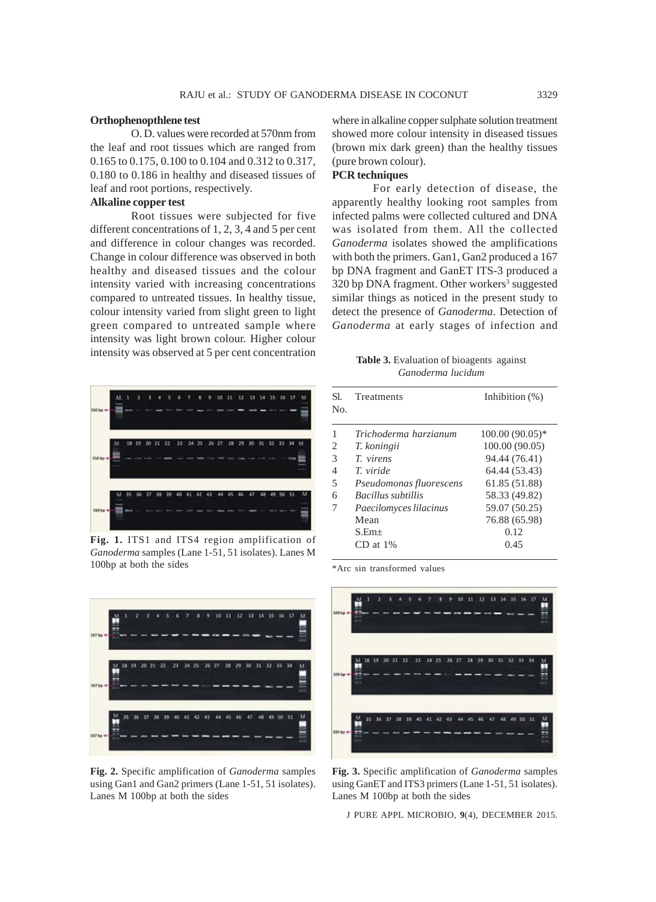#### **Orthophenopthlene test**

O. D. values were recorded at 570nm from the leaf and root tissues which are ranged from 0.165 to 0.175, 0.100 to 0.104 and 0.312 to 0.317, 0.180 to 0.186 in healthy and diseased tissues of leaf and root portions, respectively.

# **Alkaline copper test**

Root tissues were subjected for five different concentrations of 1, 2, 3, 4 and 5 per cent and difference in colour changes was recorded. Change in colour difference was observed in both healthy and diseased tissues and the colour intensity varied with increasing concentrations compared to untreated tissues. In healthy tissue, colour intensity varied from slight green to light green compared to untreated sample where intensity was light brown colour. Higher colour intensity was observed at 5 per cent concentration



**Fig. 1.** ITS1 and ITS4 region amplification of *Ganoderma* samples (Lane 1-51, 51 isolates). Lanes M 100bp at both the sides



**Fig. 2.** Specific amplification of *Ganoderma* samples using Gan1 and Gan2 primers (Lane 1-51, 51 isolates). Lanes M 100bp at both the sides

where in alkaline copper sulphate solution treatment showed more colour intensity in diseased tissues (brown mix dark green) than the healthy tissues (pure brown colour).

### **PCR techniques**

For early detection of disease, the apparently healthy looking root samples from infected palms were collected cultured and DNA was isolated from them. All the collected *Ganoderma* isolates showed the amplifications with both the primers. Gan1, Gan2 produced a 167 bp DNA fragment and GanET ITS-3 produced a 320 bp DNA fragment. Other workers<sup>3</sup> suggested similar things as noticed in the present study to detect the presence of *Ganoderma*. Detection of *Ganoderma* at early stages of infection and

**Table 3.** Evaluation of bioagents against *Ganoderma lucidum*

| SL.<br>No.               | Treatments                | Inhibition $(\%)$ |
|--------------------------|---------------------------|-------------------|
|                          | Trichoderma harzianum     | 100.00 (90.05)*   |
| 2                        | T. koningii               | 100.00 (90.05)    |
| 3                        | T virens                  | 94.44 (76.41)     |
| 4                        | T viride                  | 64.44 (53.43)     |
| $\overline{\phantom{1}}$ | Pseudomonas fluorescens   | 61.85 (51.88)     |
| 6                        | <b>Bacillus subtillis</b> | 58.33 (49.82)     |
|                          | Paecilomyces lilacinus    | 59.07 (50.25)     |
|                          | Mean                      | 76.88 (65.98)     |
|                          | $S. Em+$                  | 0.12              |
|                          | $CD$ at $1\%$             | 0.45              |

\*Arc sin transformed values



**Fig. 3.** Specific amplification of *Ganoderma* samples using GanET and ITS3 primers (Lane 1-51, 51 isolates). Lanes M 100bp at both the sides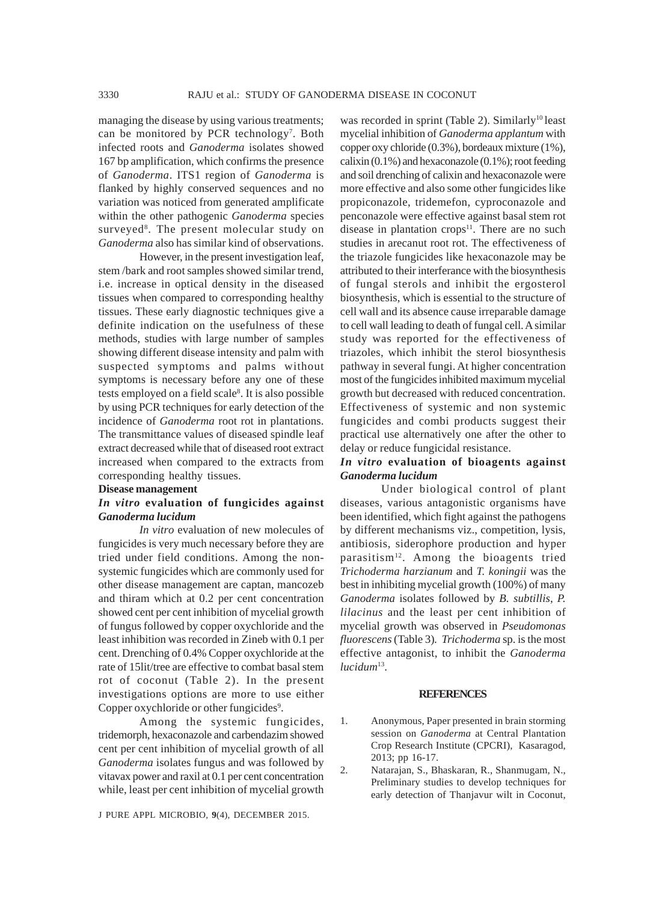managing the disease by using various treatments; can be monitored by PCR technology<sup>7</sup>. Both infected roots and *Ganoderma* isolates showed 167 bp amplification, which confirms the presence of *Ganoderma*. ITS1 region of *Ganoderma* is flanked by highly conserved sequences and no variation was noticed from generated amplificate within the other pathogenic *Ganoderma* species surveyed<sup>8</sup>. The present molecular study on *Ganoderma* also has similar kind of observations.

However, in the present investigation leaf, stem /bark and root samples showed similar trend, i.e. increase in optical density in the diseased tissues when compared to corresponding healthy tissues. These early diagnostic techniques give a definite indication on the usefulness of these methods, studies with large number of samples showing different disease intensity and palm with suspected symptoms and palms without symptoms is necessary before any one of these tests employed on a field scale<sup>8</sup>. It is also possible by using PCR techniques for early detection of the incidence of *Ganoderma* root rot in plantations. The transmittance values of diseased spindle leaf extract decreased while that of diseased root extract increased when compared to the extracts from corresponding healthy tissues.

#### **Disease management**

### *In vitro* **evaluation of fungicides against** *Ganoderma lucidum*

*In vitro* evaluation of new molecules of fungicides is very much necessary before they are tried under field conditions. Among the nonsystemic fungicides which are commonly used for other disease management are captan, mancozeb and thiram which at 0.2 per cent concentration showed cent per cent inhibition of mycelial growth of fungus followed by copper oxychloride and the least inhibition was recorded in Zineb with 0.1 per cent. Drenching of 0.4% Copper oxychloride at the rate of 15lit/tree are effective to combat basal stem rot of coconut (Table 2). In the present investigations options are more to use either Copper oxychloride or other fungicides<sup>9</sup>.

Among the systemic fungicides, tridemorph, hexaconazole and carbendazim showed cent per cent inhibition of mycelial growth of all *Ganoderma* isolates fungus and was followed by vitavax power and raxil at 0.1 per cent concentration while, least per cent inhibition of mycelial growth

J PURE APPL MICROBIO*,* **9**(4), DECEMBER 2015.

was recorded in sprint (Table 2). Similarly<sup>10</sup> least mycelial inhibition of *Ganoderma applantum* with copper oxy chloride (0.3%), bordeaux mixture (1%), calixin (0.1%) and hexaconazole (0.1%); root feeding and soil drenching of calixin and hexaconazole were more effective and also some other fungicides like propiconazole, tridemefon, cyproconazole and penconazole were effective against basal stem rot disease in plantation crops $11$ . There are no such studies in arecanut root rot. The effectiveness of the triazole fungicides like hexaconazole may be attributed to their interferance with the biosynthesis of fungal sterols and inhibit the ergosterol biosynthesis, which is essential to the structure of cell wall and its absence cause irreparable damage to cell wall leading to death of fungal cell. A similar study was reported for the effectiveness of triazoles, which inhibit the sterol biosynthesis pathway in several fungi. At higher concentration most of the fungicides inhibited maximum mycelial growth but decreased with reduced concentration. Effectiveness of systemic and non systemic fungicides and combi products suggest their practical use alternatively one after the other to delay or reduce fungicidal resistance.

# *In vitro* **evaluation of bioagents against** *Ganoderma lucidum*

Under biological control of plant diseases, various antagonistic organisms have been identified, which fight against the pathogens by different mechanisms viz., competition, lysis, antibiosis, siderophore production and hyper parasitism<sup>12</sup>. Among the bioagents tried *Trichoderma harzianum* and *T. koningii* was the best in inhibiting mycelial growth (100%) of many *Ganoderma* isolates followed by *B. subtillis*, *P. lilacinus* and the least per cent inhibition of mycelial growth was observed in *Pseudomonas fluorescens* (Table 3)*. Trichoderma* sp. is the most effective antagonist, to inhibit the *Ganoderma lucidum*13.

#### **REFERENCES**

- 1. Anonymous, Paper presented in brain storming session on *Ganoderma* at Central Plantation Crop Research Institute (CPCRI), Kasaragod, 2013; pp 16-17.
- 2. Natarajan, S., Bhaskaran, R., Shanmugam, N., Preliminary studies to develop techniques for early detection of Thanjavur wilt in Coconut,